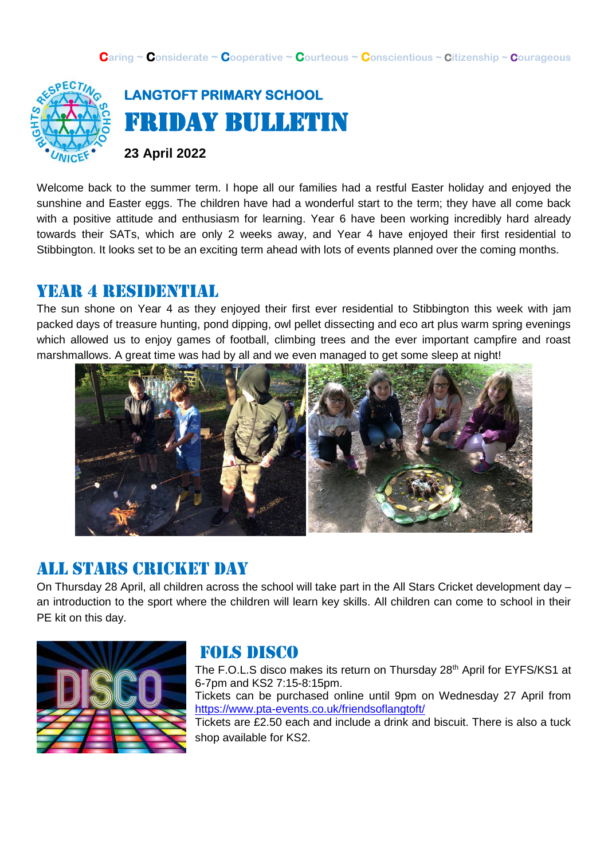

**LANGTOFT PRIMARY SCHOOL**  Friday Bulletin

**23 April 2022**

Welcome back to the summer term. I hope all our families had a restful Easter holiday and enjoyed the sunshine and Easter eggs. The children have had a wonderful start to the term; they have all come back with a positive attitude and enthusiasm for learning. Year 6 have been working incredibly hard already towards their SATs, which are only 2 weeks away, and Year 4 have enjoyed their first residential to Stibbington. It looks set to be an exciting term ahead with lots of events planned over the coming months.

#### year 4 residential

The sun shone on Year 4 as they enjoyed their first ever residential to Stibbington this week with jam packed days of treasure hunting, pond dipping, owl pellet dissecting and eco art plus warm spring evenings which allowed us to enjoy games of football, climbing trees and the ever important campfire and roast marshmallows. A great time was had by all and we even managed to get some sleep at night!



#### All stars cricket day

On Thursday 28 April, all children across the school will take part in the All Stars Cricket development day – an introduction to the sport where the children will learn key skills. All children can come to school in their PE kit on this day.



# Fols disco

The F.O.L.S disco makes its return on Thursday 28<sup>th</sup> April for EYFS/KS1 at 6-7pm and KS2 7:15-8:15pm. Tickets can be purchased online until 9pm on Wednesday 27 April from <https://www.pta-events.co.uk/friendsoflangtoft/> Tickets are £2.50 each and include a drink and biscuit. There is also a tuck shop available for KS2.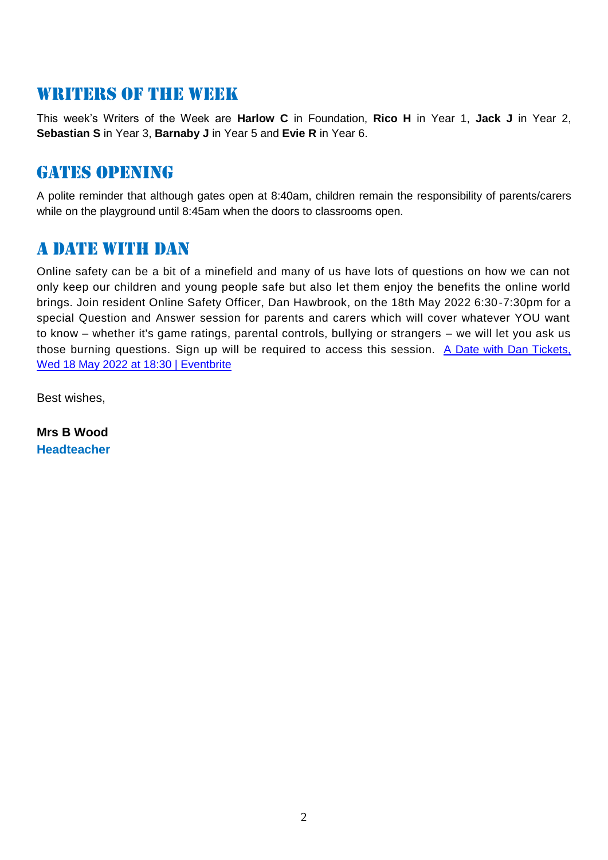## WRITERS OF THE WEEK

This week's Writers of the Week are **Harlow C** in Foundation, **Rico H** in Year 1, **Jack J** in Year 2, **Sebastian S** in Year 3, **Barnaby J** in Year 5 and **Evie R** in Year 6.

#### **GATES OPENING**

A polite reminder that although gates open at 8:40am, children remain the responsibility of parents/carers while on the playground until 8:45am when the doors to classrooms open.

## A date with dan

Online safety can be a bit of a minefield and many of us have lots of questions on how we can not only keep our children and young people safe but also let them enjoy the benefits the online world brings. Join resident Online Safety Officer, Dan Hawbrook, on the 18th May 2022 6:30-7:30pm for a special Question and Answer session for parents and carers which will cover whatever YOU want to know – whether it's game ratings, parental controls, bullying or strangers – we will let you ask us those burning questions. Sign up will be required to access this session. A Date with Dan Tickets, [Wed 18 May 2022 at 18:30 | Eventbrite](https://www.eventbrite.co.uk/e/a-date-with-dan-tickets-287806616337)

Best wishes,

**Mrs B Wood Headteacher**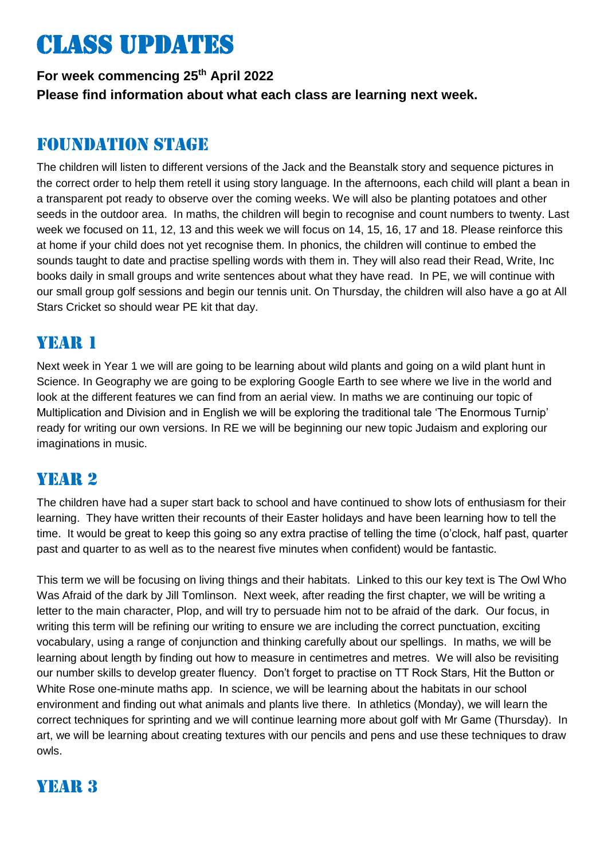# Class updates

**For week commencing 25th April 2022 Please find information about what each class are learning next week.** 

#### Foundation stage

The children will listen to different versions of the Jack and the Beanstalk story and sequence pictures in the correct order to help them retell it using story language. In the afternoons, each child will plant a bean in a transparent pot ready to observe over the coming weeks. We will also be planting potatoes and other seeds in the outdoor area. In maths, the children will begin to recognise and count numbers to twenty. Last week we focused on 11, 12, 13 and this week we will focus on 14, 15, 16, 17 and 18. Please reinforce this at home if your child does not yet recognise them. In phonics, the children will continue to embed the sounds taught to date and practise spelling words with them in. They will also read their Read, Write, Inc books daily in small groups and write sentences about what they have read. In PE, we will continue with our small group golf sessions and begin our tennis unit. On Thursday, the children will also have a go at All Stars Cricket so should wear PE kit that day.

## YEAR 1

Next week in Year 1 we will are going to be learning about wild plants and going on a wild plant hunt in Science. In Geography we are going to be exploring Google Earth to see where we live in the world and look at the different features we can find from an aerial view. In maths we are continuing our topic of Multiplication and Division and in English we will be exploring the traditional tale 'The Enormous Turnip' ready for writing our own versions. In RE we will be beginning our new topic Judaism and exploring our imaginations in music.

## Year 2

The children have had a super start back to school and have continued to show lots of enthusiasm for their learning. They have written their recounts of their Easter holidays and have been learning how to tell the time. It would be great to keep this going so any extra practise of telling the time (o'clock, half past, quarter past and quarter to as well as to the nearest five minutes when confident) would be fantastic.

This term we will be focusing on living things and their habitats. Linked to this our key text is The Owl Who Was Afraid of the dark by Jill Tomlinson. Next week, after reading the first chapter, we will be writing a letter to the main character, Plop, and will try to persuade him not to be afraid of the dark. Our focus, in writing this term will be refining our writing to ensure we are including the correct punctuation, exciting vocabulary, using a range of conjunction and thinking carefully about our spellings. In maths, we will be learning about length by finding out how to measure in centimetres and metres. We will also be revisiting our number skills to develop greater fluency. Don't forget to practise on TT Rock Stars, Hit the Button or White Rose one-minute maths app. In science, we will be learning about the habitats in our school environment and finding out what animals and plants live there. In athletics (Monday), we will learn the correct techniques for sprinting and we will continue learning more about golf with Mr Game (Thursday). In art, we will be learning about creating textures with our pencils and pens and use these techniques to draw owls.

## YEAR 3